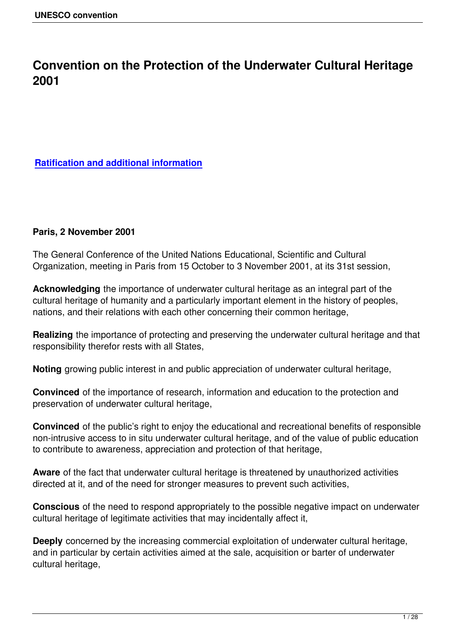# **Convention on the Protection of the Underwater Cultural Heritage 2001**

**Ratification and additional information**

# **Paris, 2 November 2001**

The General Conference of the United Nations Educational, Scientific and Cultural Organization, meeting in Paris from 15 October to 3 November 2001, at its 31st session,

**Acknowledging** the importance of underwater cultural heritage as an integral part of the cultural heritage of humanity and a particularly important element in the history of peoples, nations, and their relations with each other concerning their common heritage,

**Realizing** the importance of protecting and preserving the underwater cultural heritage and that responsibility therefor rests with all States,

**Noting** growing public interest in and public appreciation of underwater cultural heritage,

**Convinced** of the importance of research, information and education to the protection and preservation of underwater cultural heritage,

**Convinced** of the public's right to enjoy the educational and recreational benefits of responsible non-intrusive access to in situ underwater cultural heritage, and of the value of public education to contribute to awareness, appreciation and protection of that heritage,

**Aware** of the fact that underwater cultural heritage is threatened by unauthorized activities directed at it, and of the need for stronger measures to prevent such activities,

**Conscious** of the need to respond appropriately to the possible negative impact on underwater cultural heritage of legitimate activities that may incidentally affect it,

**Deeply** concerned by the increasing commercial exploitation of underwater cultural heritage, and in particular by certain activities aimed at the sale, acquisition or barter of underwater cultural heritage,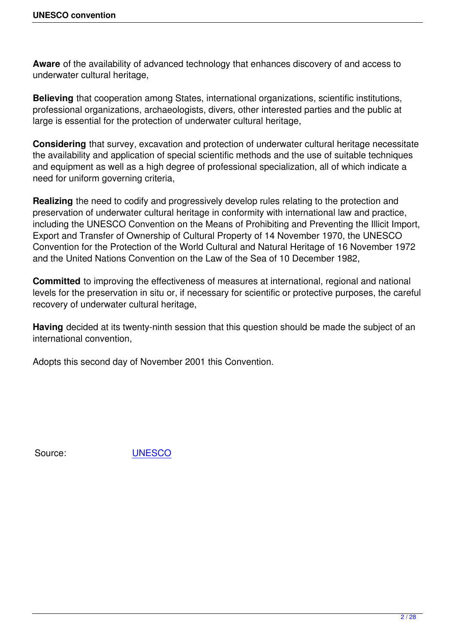**Aware** of the availability of advanced technology that enhances discovery of and access to underwater cultural heritage,

**Believing** that cooperation among States, international organizations, scientific institutions, professional organizations, archaeologists, divers, other interested parties and the public at large is essential for the protection of underwater cultural heritage,

**Considering** that survey, excavation and protection of underwater cultural heritage necessitate the availability and application of special scientific methods and the use of suitable techniques and equipment as well as a high degree of professional specialization, all of which indicate a need for uniform governing criteria,

**Realizing** the need to codify and progressively develop rules relating to the protection and preservation of underwater cultural heritage in conformity with international law and practice, including the UNESCO Convention on the Means of Prohibiting and Preventing the Illicit Import, Export and Transfer of Ownership of Cultural Property of 14 November 1970, the UNESCO Convention for the Protection of the World Cultural and Natural Heritage of 16 November 1972 and the United Nations Convention on the Law of the Sea of 10 December 1982,

**Committed** to improving the effectiveness of measures at international, regional and national levels for the preservation in situ or, if necessary for scientific or protective purposes, the careful recovery of underwater cultural heritage,

**Having** decided at its twenty-ninth session that this question should be made the subject of an international convention,

Adopts this second day of November 2001 this Convention.

Source: UNESCO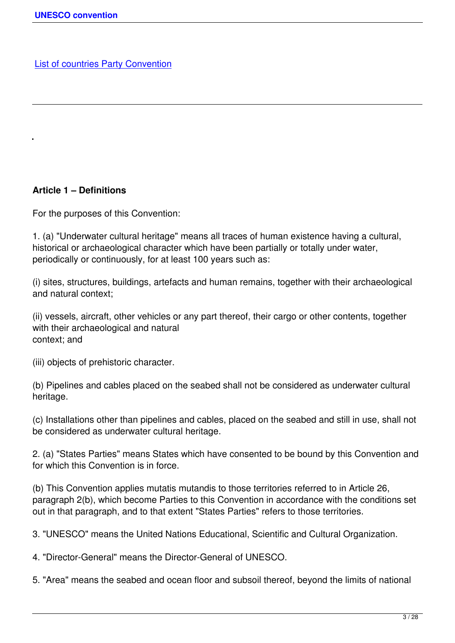# **Article 1 – Definitions**

For the purposes of this Convention:

1. (a) "Underwater cultural heritage" means all traces of human existence having a cultural, historical or archaeological character which have been partially or totally under water, periodically or continuously, for at least 100 years such as:

(i) sites, structures, buildings, artefacts and human remains, together with their archaeological and natural context;

(ii) vessels, aircraft, other vehicles or any part thereof, their cargo or other contents, together with their archaeological and natural context; and

(iii) objects of prehistoric character.

(b) Pipelines and cables placed on the seabed shall not be considered as underwater cultural heritage.

(c) Installations other than pipelines and cables, placed on the seabed and still in use, shall not be considered as underwater cultural heritage.

2. (a) "States Parties" means States which have consented to be bound by this Convention and for which this Convention is in force.

(b) This Convention applies mutatis mutandis to those territories referred to in Article 26, paragraph 2(b), which become Parties to this Convention in accordance with the conditions set out in that paragraph, and to that extent "States Parties" refers to those territories.

3. "UNESCO" means the United Nations Educational, Scientific and Cultural Organization.

4. "Director-General" means the Director-General of UNESCO.

5. "Area" means the seabed and ocean floor and subsoil thereof, beyond the limits of national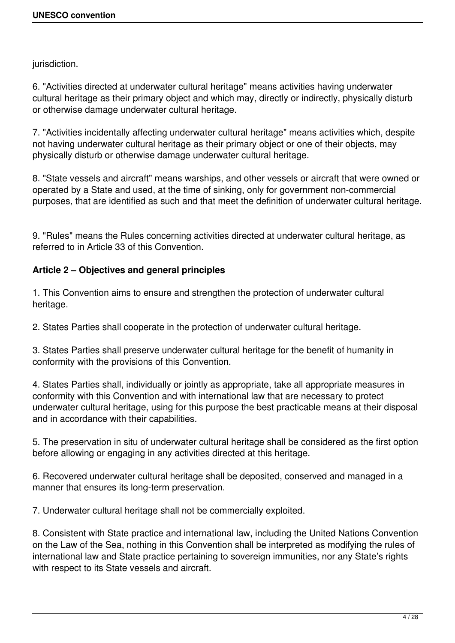jurisdiction.

6. "Activities directed at underwater cultural heritage" means activities having underwater cultural heritage as their primary object and which may, directly or indirectly, physically disturb or otherwise damage underwater cultural heritage.

7. "Activities incidentally affecting underwater cultural heritage" means activities which, despite not having underwater cultural heritage as their primary object or one of their objects, may physically disturb or otherwise damage underwater cultural heritage.

8. "State vessels and aircraft" means warships, and other vessels or aircraft that were owned or operated by a State and used, at the time of sinking, only for government non-commercial purposes, that are identified as such and that meet the definition of underwater cultural heritage.

9. "Rules" means the Rules concerning activities directed at underwater cultural heritage, as referred to in Article 33 of this Convention.

# **Article 2 – Objectives and general principles**

1. This Convention aims to ensure and strengthen the protection of underwater cultural heritage.

2. States Parties shall cooperate in the protection of underwater cultural heritage.

3. States Parties shall preserve underwater cultural heritage for the benefit of humanity in conformity with the provisions of this Convention.

4. States Parties shall, individually or jointly as appropriate, take all appropriate measures in conformity with this Convention and with international law that are necessary to protect underwater cultural heritage, using for this purpose the best practicable means at their disposal and in accordance with their capabilities.

5. The preservation in situ of underwater cultural heritage shall be considered as the first option before allowing or engaging in any activities directed at this heritage.

6. Recovered underwater cultural heritage shall be deposited, conserved and managed in a manner that ensures its long-term preservation.

7. Underwater cultural heritage shall not be commercially exploited.

8. Consistent with State practice and international law, including the United Nations Convention on the Law of the Sea, nothing in this Convention shall be interpreted as modifying the rules of international law and State practice pertaining to sovereign immunities, nor any State's rights with respect to its State vessels and aircraft.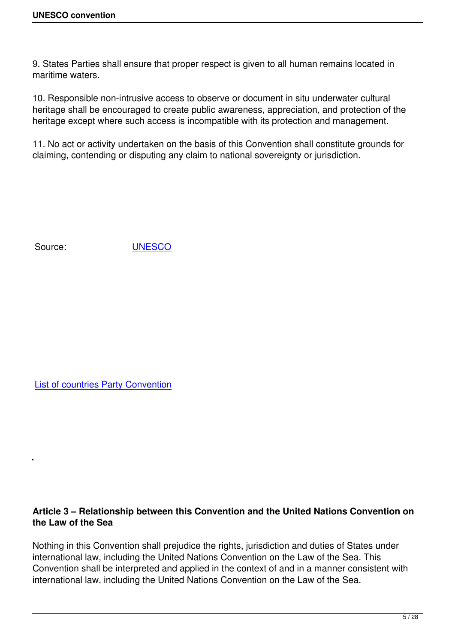9. States Parties shall ensure that proper respect is given to all human remains located in maritime waters.

10. Responsible non-intrusive access to observe or document in situ underwater cultural heritage shall be encouraged to create public awareness, appreciation, and protection of the heritage except where such access is incompatible with its protection and management.

11. No act or activity undertaken on the basis of this Convention shall constitute grounds for claiming, contending or disputing any claim to national sovereignty or jurisdiction.

Source: UNESCO

List of countries Party Convention

# **Article 3 – Relationship between this Convention and the United Nations Convention on the Law of the Sea**

Nothing in this Convention shall prejudice the rights, jurisdiction and duties of States under international law, including the United Nations Convention on the Law of the Sea. This Convention shall be interpreted and applied in the context of and in a manner consistent with international law, including the United Nations Convention on the Law of the Sea.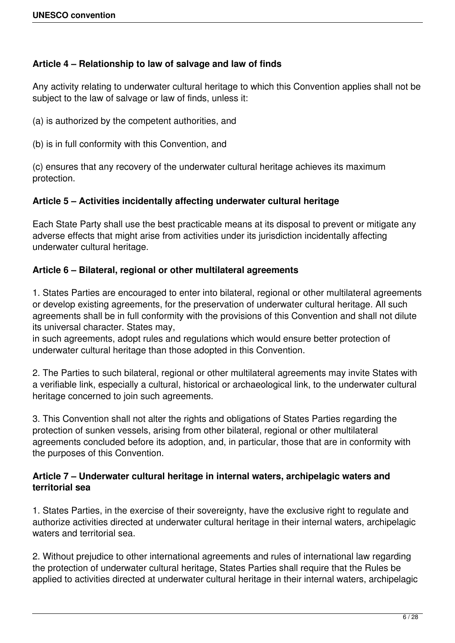# **Article 4 – Relationship to law of salvage and law of finds**

Any activity relating to underwater cultural heritage to which this Convention applies shall not be subject to the law of salvage or law of finds, unless it:

- (a) is authorized by the competent authorities, and
- (b) is in full conformity with this Convention, and

(c) ensures that any recovery of the underwater cultural heritage achieves its maximum protection.

# **Article 5 – Activities incidentally affecting underwater cultural heritage**

Each State Party shall use the best practicable means at its disposal to prevent or mitigate any adverse effects that might arise from activities under its jurisdiction incidentally affecting underwater cultural heritage.

# **Article 6 – Bilateral, regional or other multilateral agreements**

1. States Parties are encouraged to enter into bilateral, regional or other multilateral agreements or develop existing agreements, for the preservation of underwater cultural heritage. All such agreements shall be in full conformity with the provisions of this Convention and shall not dilute its universal character. States may,

in such agreements, adopt rules and regulations which would ensure better protection of underwater cultural heritage than those adopted in this Convention.

2. The Parties to such bilateral, regional or other multilateral agreements may invite States with a verifiable link, especially a cultural, historical or archaeological link, to the underwater cultural heritage concerned to join such agreements.

3. This Convention shall not alter the rights and obligations of States Parties regarding the protection of sunken vessels, arising from other bilateral, regional or other multilateral agreements concluded before its adoption, and, in particular, those that are in conformity with the purposes of this Convention.

# **Article 7 – Underwater cultural heritage in internal waters, archipelagic waters and territorial sea**

1. States Parties, in the exercise of their sovereignty, have the exclusive right to regulate and authorize activities directed at underwater cultural heritage in their internal waters, archipelagic waters and territorial sea.

2. Without prejudice to other international agreements and rules of international law regarding the protection of underwater cultural heritage, States Parties shall require that the Rules be applied to activities directed at underwater cultural heritage in their internal waters, archipelagic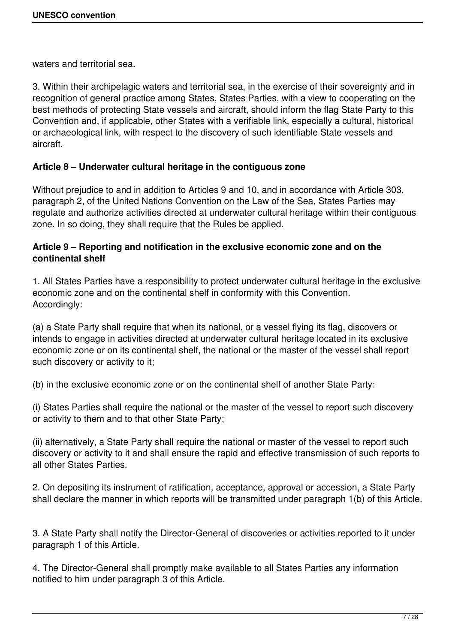waters and territorial sea.

3. Within their archipelagic waters and territorial sea, in the exercise of their sovereignty and in recognition of general practice among States, States Parties, with a view to cooperating on the best methods of protecting State vessels and aircraft, should inform the flag State Party to this Convention and, if applicable, other States with a verifiable link, especially a cultural, historical or archaeological link, with respect to the discovery of such identifiable State vessels and aircraft.

#### **Article 8 – Underwater cultural heritage in the contiguous zone**

Without prejudice to and in addition to Articles 9 and 10, and in accordance with Article 303, paragraph 2, of the United Nations Convention on the Law of the Sea, States Parties may regulate and authorize activities directed at underwater cultural heritage within their contiguous zone. In so doing, they shall require that the Rules be applied.

# **Article 9 – Reporting and notification in the exclusive economic zone and on the continental shelf**

1. All States Parties have a responsibility to protect underwater cultural heritage in the exclusive economic zone and on the continental shelf in conformity with this Convention. Accordingly:

(a) a State Party shall require that when its national, or a vessel flying its flag, discovers or intends to engage in activities directed at underwater cultural heritage located in its exclusive economic zone or on its continental shelf, the national or the master of the vessel shall report such discovery or activity to it;

(b) in the exclusive economic zone or on the continental shelf of another State Party:

(i) States Parties shall require the national or the master of the vessel to report such discovery or activity to them and to that other State Party;

(ii) alternatively, a State Party shall require the national or master of the vessel to report such discovery or activity to it and shall ensure the rapid and effective transmission of such reports to all other States Parties.

2. On depositing its instrument of ratification, acceptance, approval or accession, a State Party shall declare the manner in which reports will be transmitted under paragraph 1(b) of this Article.

3. A State Party shall notify the Director-General of discoveries or activities reported to it under paragraph 1 of this Article.

4. The Director-General shall promptly make available to all States Parties any information notified to him under paragraph 3 of this Article.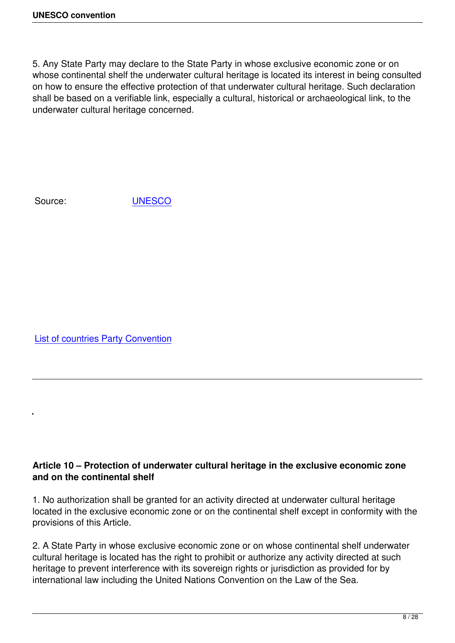5. Any State Party may declare to the State Party in whose exclusive economic zone or on whose continental shelf the underwater cultural heritage is located its interest in being consulted on how to ensure the effective protection of that underwater cultural heritage. Such declaration shall be based on a verifiable link, especially a cultural, historical or archaeological link, to the underwater cultural heritage concerned.

Source: UNESCO

List of countries Party Convention

# **Article 10 – Protection of underwater cultural heritage in the exclusive economic zone and on the continental shelf**

1. No authorization shall be granted for an activity directed at underwater cultural heritage located in the exclusive economic zone or on the continental shelf except in conformity with the provisions of this Article.

2. A State Party in whose exclusive economic zone or on whose continental shelf underwater cultural heritage is located has the right to prohibit or authorize any activity directed at such heritage to prevent interference with its sovereign rights or jurisdiction as provided for by international law including the United Nations Convention on the Law of the Sea.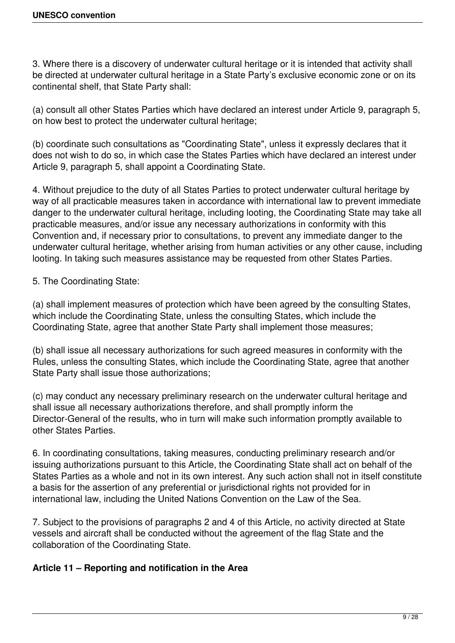3. Where there is a discovery of underwater cultural heritage or it is intended that activity shall be directed at underwater cultural heritage in a State Party's exclusive economic zone or on its continental shelf, that State Party shall:

(a) consult all other States Parties which have declared an interest under Article 9, paragraph 5, on how best to protect the underwater cultural heritage;

(b) coordinate such consultations as "Coordinating State", unless it expressly declares that it does not wish to do so, in which case the States Parties which have declared an interest under Article 9, paragraph 5, shall appoint a Coordinating State.

4. Without prejudice to the duty of all States Parties to protect underwater cultural heritage by way of all practicable measures taken in accordance with international law to prevent immediate danger to the underwater cultural heritage, including looting, the Coordinating State may take all practicable measures, and/or issue any necessary authorizations in conformity with this Convention and, if necessary prior to consultations, to prevent any immediate danger to the underwater cultural heritage, whether arising from human activities or any other cause, including looting. In taking such measures assistance may be requested from other States Parties.

5. The Coordinating State:

(a) shall implement measures of protection which have been agreed by the consulting States, which include the Coordinating State, unless the consulting States, which include the Coordinating State, agree that another State Party shall implement those measures;

(b) shall issue all necessary authorizations for such agreed measures in conformity with the Rules, unless the consulting States, which include the Coordinating State, agree that another State Party shall issue those authorizations;

(c) may conduct any necessary preliminary research on the underwater cultural heritage and shall issue all necessary authorizations therefore, and shall promptly inform the Director-General of the results, who in turn will make such information promptly available to other States Parties.

6. In coordinating consultations, taking measures, conducting preliminary research and/or issuing authorizations pursuant to this Article, the Coordinating State shall act on behalf of the States Parties as a whole and not in its own interest. Any such action shall not in itself constitute a basis for the assertion of any preferential or jurisdictional rights not provided for in international law, including the United Nations Convention on the Law of the Sea.

7. Subject to the provisions of paragraphs 2 and 4 of this Article, no activity directed at State vessels and aircraft shall be conducted without the agreement of the flag State and the collaboration of the Coordinating State.

# **Article 11 – Reporting and notification in the Area**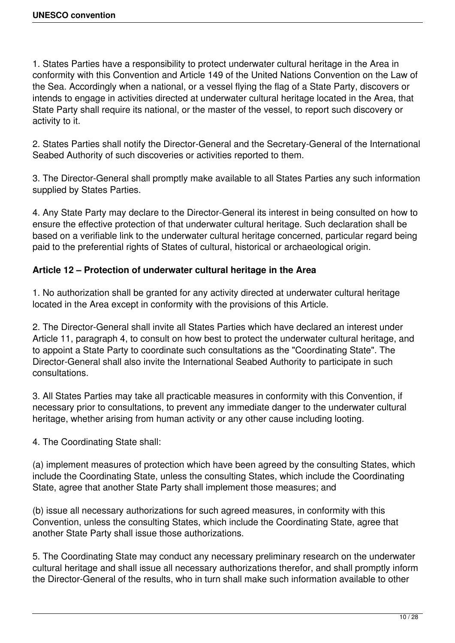1. States Parties have a responsibility to protect underwater cultural heritage in the Area in conformity with this Convention and Article 149 of the United Nations Convention on the Law of the Sea. Accordingly when a national, or a vessel flying the flag of a State Party, discovers or intends to engage in activities directed at underwater cultural heritage located in the Area, that State Party shall require its national, or the master of the vessel, to report such discovery or activity to it.

2. States Parties shall notify the Director-General and the Secretary-General of the International Seabed Authority of such discoveries or activities reported to them.

3. The Director-General shall promptly make available to all States Parties any such information supplied by States Parties.

4. Any State Party may declare to the Director-General its interest in being consulted on how to ensure the effective protection of that underwater cultural heritage. Such declaration shall be based on a verifiable link to the underwater cultural heritage concerned, particular regard being paid to the preferential rights of States of cultural, historical or archaeological origin.

# **Article 12 – Protection of underwater cultural heritage in the Area**

1. No authorization shall be granted for any activity directed at underwater cultural heritage located in the Area except in conformity with the provisions of this Article.

2. The Director-General shall invite all States Parties which have declared an interest under Article 11, paragraph 4, to consult on how best to protect the underwater cultural heritage, and to appoint a State Party to coordinate such consultations as the "Coordinating State". The Director-General shall also invite the International Seabed Authority to participate in such consultations.

3. All States Parties may take all practicable measures in conformity with this Convention, if necessary prior to consultations, to prevent any immediate danger to the underwater cultural heritage, whether arising from human activity or any other cause including looting.

4. The Coordinating State shall:

(a) implement measures of protection which have been agreed by the consulting States, which include the Coordinating State, unless the consulting States, which include the Coordinating State, agree that another State Party shall implement those measures; and

(b) issue all necessary authorizations for such agreed measures, in conformity with this Convention, unless the consulting States, which include the Coordinating State, agree that another State Party shall issue those authorizations.

5. The Coordinating State may conduct any necessary preliminary research on the underwater cultural heritage and shall issue all necessary authorizations therefor, and shall promptly inform the Director-General of the results, who in turn shall make such information available to other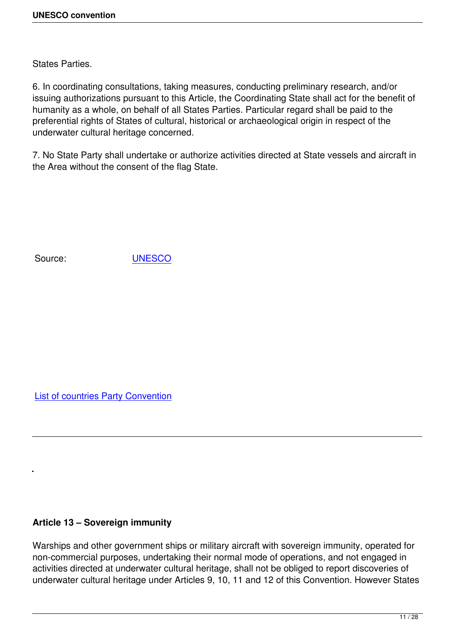States Parties.

6. In coordinating consultations, taking measures, conducting preliminary research, and/or issuing authorizations pursuant to this Article, the Coordinating State shall act for the benefit of humanity as a whole, on behalf of all States Parties. Particular regard shall be paid to the preferential rights of States of cultural, historical or archaeological origin in respect of the underwater cultural heritage concerned.

7. No State Party shall undertake or authorize activities directed at State vessels and aircraft in the Area without the consent of the flag State.

Source: UNESCO

List of countries Party Convention

# **Article 13 – Sovereign immunity**

Warships and other government ships or military aircraft with sovereign immunity, operated for non-commercial purposes, undertaking their normal mode of operations, and not engaged in activities directed at underwater cultural heritage, shall not be obliged to report discoveries of underwater cultural heritage under Articles 9, 10, 11 and 12 of this Convention. However States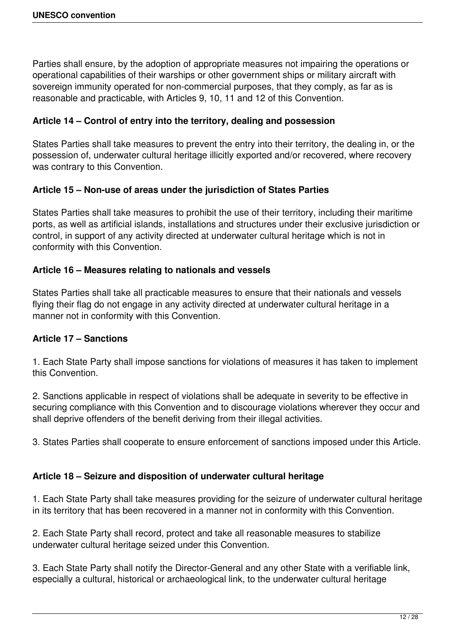Parties shall ensure, by the adoption of appropriate measures not impairing the operations or operational capabilities of their warships or other government ships or military aircraft with sovereign immunity operated for non-commercial purposes, that they comply, as far as is reasonable and practicable, with Articles 9, 10, 11 and 12 of this Convention.

# **Article 14 – Control of entry into the territory, dealing and possession**

States Parties shall take measures to prevent the entry into their territory, the dealing in, or the possession of, underwater cultural heritage illicitly exported and/or recovered, where recovery was contrary to this Convention.

# **Article 15 – Non-use of areas under the jurisdiction of States Parties**

States Parties shall take measures to prohibit the use of their territory, including their maritime ports, as well as artificial islands, installations and structures under their exclusive jurisdiction or control, in support of any activity directed at underwater cultural heritage which is not in conformity with this Convention.

# **Article 16 – Measures relating to nationals and vessels**

States Parties shall take all practicable measures to ensure that their nationals and vessels flying their flag do not engage in any activity directed at underwater cultural heritage in a manner not in conformity with this Convention.

# **Article 17 – Sanctions**

1. Each State Party shall impose sanctions for violations of measures it has taken to implement this Convention.

2. Sanctions applicable in respect of violations shall be adequate in severity to be effective in securing compliance with this Convention and to discourage violations wherever they occur and shall deprive offenders of the benefit deriving from their illegal activities.

3. States Parties shall cooperate to ensure enforcement of sanctions imposed under this Article.

# **Article 18 – Seizure and disposition of underwater cultural heritage**

1. Each State Party shall take measures providing for the seizure of underwater cultural heritage in its territory that has been recovered in a manner not in conformity with this Convention.

2. Each State Party shall record, protect and take all reasonable measures to stabilize underwater cultural heritage seized under this Convention.

3. Each State Party shall notify the Director-General and any other State with a verifiable link, especially a cultural, historical or archaeological link, to the underwater cultural heritage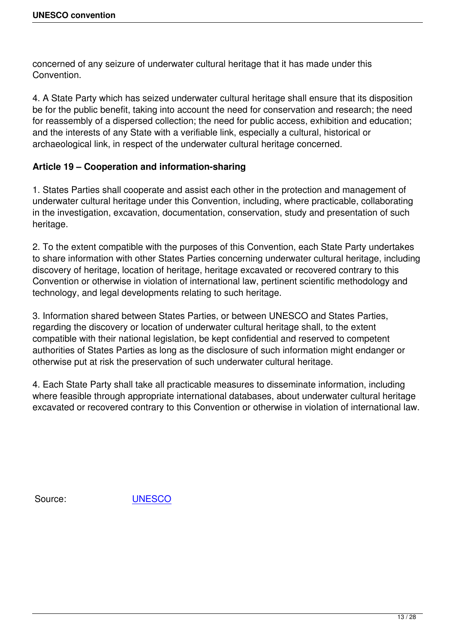concerned of any seizure of underwater cultural heritage that it has made under this Convention.

4. A State Party which has seized underwater cultural heritage shall ensure that its disposition be for the public benefit, taking into account the need for conservation and research; the need for reassembly of a dispersed collection; the need for public access, exhibition and education; and the interests of any State with a verifiable link, especially a cultural, historical or archaeological link, in respect of the underwater cultural heritage concerned.

# **Article 19 – Cooperation and information-sharing**

1. States Parties shall cooperate and assist each other in the protection and management of underwater cultural heritage under this Convention, including, where practicable, collaborating in the investigation, excavation, documentation, conservation, study and presentation of such heritage.

2. To the extent compatible with the purposes of this Convention, each State Party undertakes to share information with other States Parties concerning underwater cultural heritage, including discovery of heritage, location of heritage, heritage excavated or recovered contrary to this Convention or otherwise in violation of international law, pertinent scientific methodology and technology, and legal developments relating to such heritage.

3. Information shared between States Parties, or between UNESCO and States Parties, regarding the discovery or location of underwater cultural heritage shall, to the extent compatible with their national legislation, be kept confidential and reserved to competent authorities of States Parties as long as the disclosure of such information might endanger or otherwise put at risk the preservation of such underwater cultural heritage.

4. Each State Party shall take all practicable measures to disseminate information, including where feasible through appropriate international databases, about underwater cultural heritage excavated or recovered contrary to this Convention or otherwise in violation of international law.

Source: UNESCO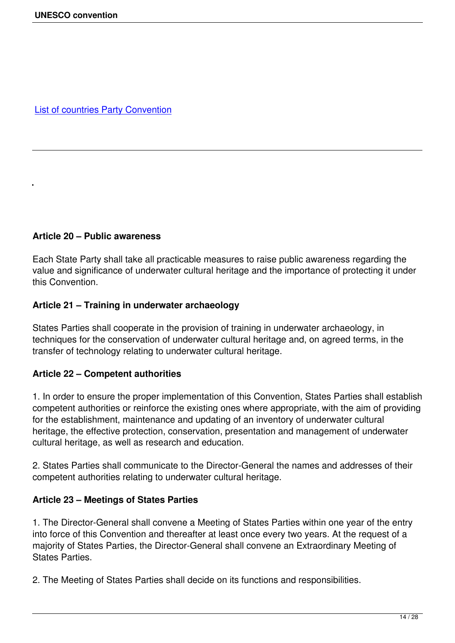# **Article 20 – Public awareness**

Each State Party shall take all practicable measures to raise public awareness regarding the value and significance of underwater cultural heritage and the importance of protecting it under this Convention.

# **Article 21 – Training in underwater archaeology**

States Parties shall cooperate in the provision of training in underwater archaeology, in techniques for the conservation of underwater cultural heritage and, on agreed terms, in the transfer of technology relating to underwater cultural heritage.

# **Article 22 – Competent authorities**

1. In order to ensure the proper implementation of this Convention, States Parties shall establish competent authorities or reinforce the existing ones where appropriate, with the aim of providing for the establishment, maintenance and updating of an inventory of underwater cultural heritage, the effective protection, conservation, presentation and management of underwater cultural heritage, as well as research and education.

2. States Parties shall communicate to the Director-General the names and addresses of their competent authorities relating to underwater cultural heritage.

# **Article 23 – Meetings of States Parties**

1. The Director-General shall convene a Meeting of States Parties within one year of the entry into force of this Convention and thereafter at least once every two years. At the request of a majority of States Parties, the Director-General shall convene an Extraordinary Meeting of States Parties.

2. The Meeting of States Parties shall decide on its functions and responsibilities.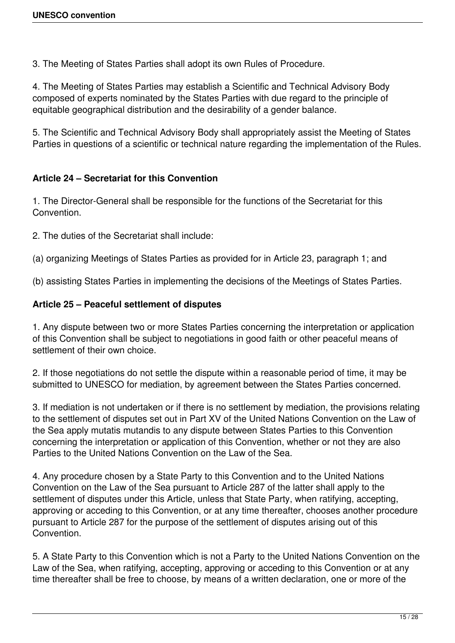3. The Meeting of States Parties shall adopt its own Rules of Procedure.

4. The Meeting of States Parties may establish a Scientific and Technical Advisory Body composed of experts nominated by the States Parties with due regard to the principle of equitable geographical distribution and the desirability of a gender balance.

5. The Scientific and Technical Advisory Body shall appropriately assist the Meeting of States Parties in questions of a scientific or technical nature regarding the implementation of the Rules.

# **Article 24 – Secretariat for this Convention**

1. The Director-General shall be responsible for the functions of the Secretariat for this Convention.

- 2. The duties of the Secretariat shall include:
- (a) organizing Meetings of States Parties as provided for in Article 23, paragraph 1; and

(b) assisting States Parties in implementing the decisions of the Meetings of States Parties.

#### **Article 25 – Peaceful settlement of disputes**

1. Any dispute between two or more States Parties concerning the interpretation or application of this Convention shall be subject to negotiations in good faith or other peaceful means of settlement of their own choice.

2. If those negotiations do not settle the dispute within a reasonable period of time, it may be submitted to UNESCO for mediation, by agreement between the States Parties concerned.

3. If mediation is not undertaken or if there is no settlement by mediation, the provisions relating to the settlement of disputes set out in Part XV of the United Nations Convention on the Law of the Sea apply mutatis mutandis to any dispute between States Parties to this Convention concerning the interpretation or application of this Convention, whether or not they are also Parties to the United Nations Convention on the Law of the Sea.

4. Any procedure chosen by a State Party to this Convention and to the United Nations Convention on the Law of the Sea pursuant to Article 287 of the latter shall apply to the settlement of disputes under this Article, unless that State Party, when ratifying, accepting, approving or acceding to this Convention, or at any time thereafter, chooses another procedure pursuant to Article 287 for the purpose of the settlement of disputes arising out of this Convention.

5. A State Party to this Convention which is not a Party to the United Nations Convention on the Law of the Sea, when ratifying, accepting, approving or acceding to this Convention or at any time thereafter shall be free to choose, by means of a written declaration, one or more of the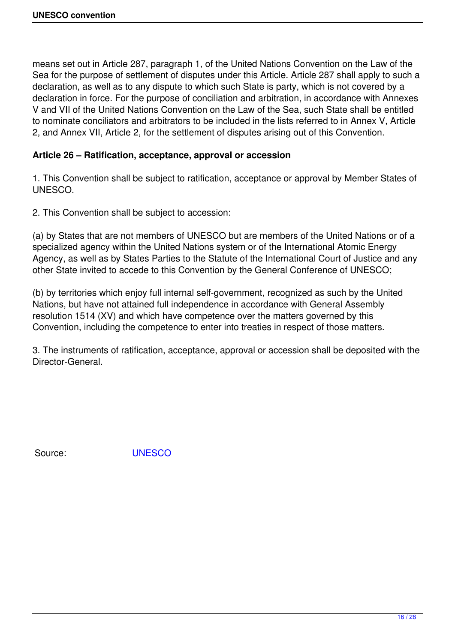means set out in Article 287, paragraph 1, of the United Nations Convention on the Law of the Sea for the purpose of settlement of disputes under this Article. Article 287 shall apply to such a declaration, as well as to any dispute to which such State is party, which is not covered by a declaration in force. For the purpose of conciliation and arbitration, in accordance with Annexes V and VII of the United Nations Convention on the Law of the Sea, such State shall be entitled to nominate conciliators and arbitrators to be included in the lists referred to in Annex V, Article 2, and Annex VII, Article 2, for the settlement of disputes arising out of this Convention.

# **Article 26 – Ratification, acceptance, approval or accession**

1. This Convention shall be subject to ratification, acceptance or approval by Member States of UNESCO.

2. This Convention shall be subject to accession:

(a) by States that are not members of UNESCO but are members of the United Nations or of a specialized agency within the United Nations system or of the International Atomic Energy Agency, as well as by States Parties to the Statute of the International Court of Justice and any other State invited to accede to this Convention by the General Conference of UNESCO;

(b) by territories which enjoy full internal self-government, recognized as such by the United Nations, but have not attained full independence in accordance with General Assembly resolution 1514 (XV) and which have competence over the matters governed by this Convention, including the competence to enter into treaties in respect of those matters.

3. The instruments of ratification, acceptance, approval or accession shall be deposited with the Director-General.

Source: UNESCO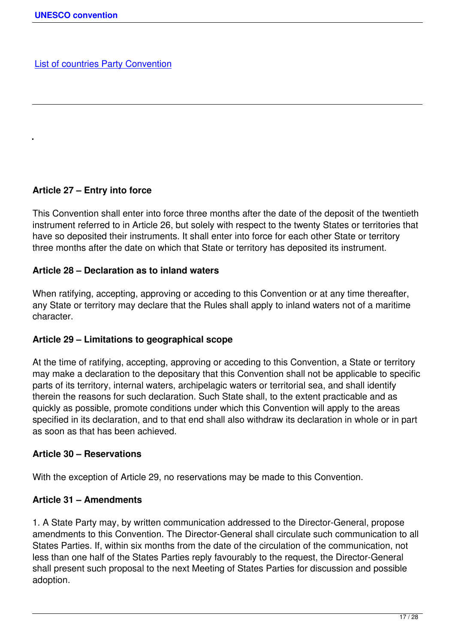# **Article 27 – Entry into force**

This Convention shall enter into force three months after the date of the deposit of the twentieth instrument referred to in Article 26, but solely with respect to the twenty States or territories that have so deposited their instruments. It shall enter into force for each other State or territory three months after the date on which that State or territory has deposited its instrument.

# **Article 28 – Declaration as to inland waters**

When ratifying, accepting, approving or acceding to this Convention or at any time thereafter, any State or territory may declare that the Rules shall apply to inland waters not of a maritime character.

#### **Article 29 – Limitations to geographical scope**

At the time of ratifying, accepting, approving or acceding to this Convention, a State or territory may make a declaration to the depositary that this Convention shall not be applicable to specific parts of its territory, internal waters, archipelagic waters or territorial sea, and shall identify therein the reasons for such declaration. Such State shall, to the extent practicable and as quickly as possible, promote conditions under which this Convention will apply to the areas specified in its declaration, and to that end shall also withdraw its declaration in whole or in part as soon as that has been achieved.

#### **Article 30 – Reservations**

With the exception of Article 29, no reservations may be made to this Convention.

#### **Article 31 – Amendments**

1. A State Party may, by written communication addressed to the Director-General, propose amendments to this Convention. The Director-General shall circulate such communication to all States Parties. If, within six months from the date of the circulation of the communication, not less than one half of the States Parties reply favourably to the request, the Director-General shall present such proposal to the next Meeting of States Parties for discussion and possible adoption.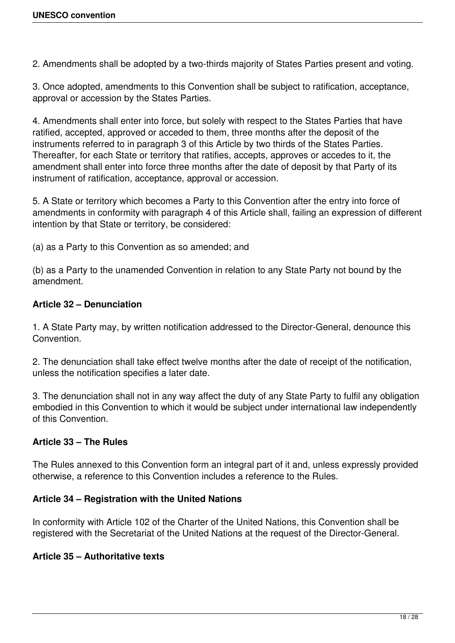2. Amendments shall be adopted by a two-thirds majority of States Parties present and voting.

3. Once adopted, amendments to this Convention shall be subject to ratification, acceptance, approval or accession by the States Parties.

4. Amendments shall enter into force, but solely with respect to the States Parties that have ratified, accepted, approved or acceded to them, three months after the deposit of the instruments referred to in paragraph 3 of this Article by two thirds of the States Parties. Thereafter, for each State or territory that ratifies, accepts, approves or accedes to it, the amendment shall enter into force three months after the date of deposit by that Party of its instrument of ratification, acceptance, approval or accession.

5. A State or territory which becomes a Party to this Convention after the entry into force of amendments in conformity with paragraph 4 of this Article shall, failing an expression of different intention by that State or territory, be considered:

(a) as a Party to this Convention as so amended; and

(b) as a Party to the unamended Convention in relation to any State Party not bound by the amendment.

#### **Article 32 – Denunciation**

1. A State Party may, by written notification addressed to the Director-General, denounce this Convention.

2. The denunciation shall take effect twelve months after the date of receipt of the notification, unless the notification specifies a later date.

3. The denunciation shall not in any way affect the duty of any State Party to fulfil any obligation embodied in this Convention to which it would be subject under international law independently of this Convention.

# **Article 33 – The Rules**

The Rules annexed to this Convention form an integral part of it and, unless expressly provided otherwise, a reference to this Convention includes a reference to the Rules.

# **Article 34 – Registration with the United Nations**

In conformity with Article 102 of the Charter of the United Nations, this Convention shall be registered with the Secretariat of the United Nations at the request of the Director-General.

# **Article 35 – Authoritative texts**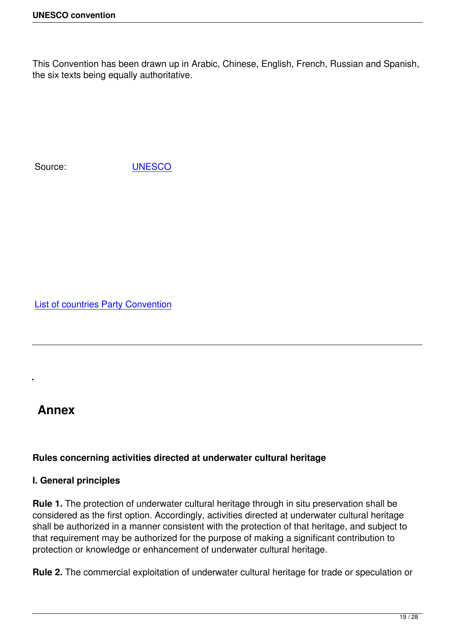This Convention has been drawn up in Arabic, Chinese, English, French, Russian and Spanish, the six texts being equally authoritative.

Source: UNESCO

List of countries Party Convention

# **Annex**

# **Rules concerning activities directed at underwater cultural heritage**

# **I. General principles**

**Rule 1.** The protection of underwater cultural heritage through in situ preservation shall be considered as the first option. Accordingly, activities directed at underwater cultural heritage shall be authorized in a manner consistent with the protection of that heritage, and subject to that requirement may be authorized for the purpose of making a significant contribution to protection or knowledge or enhancement of underwater cultural heritage.

**Rule 2.** The commercial exploitation of underwater cultural heritage for trade or speculation or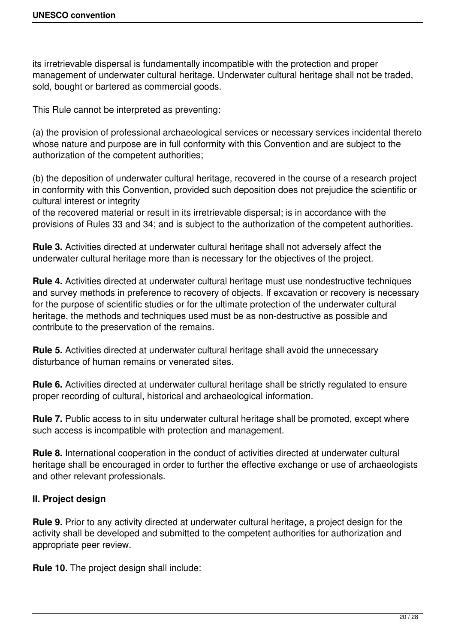its irretrievable dispersal is fundamentally incompatible with the protection and proper management of underwater cultural heritage. Underwater cultural heritage shall not be traded, sold, bought or bartered as commercial goods.

This Rule cannot be interpreted as preventing:

(a) the provision of professional archaeological services or necessary services incidental thereto whose nature and purpose are in full conformity with this Convention and are subject to the authorization of the competent authorities;

(b) the deposition of underwater cultural heritage, recovered in the course of a research project in conformity with this Convention, provided such deposition does not prejudice the scientific or cultural interest or integrity

of the recovered material or result in its irretrievable dispersal; is in accordance with the provisions of Rules 33 and 34; and is subject to the authorization of the competent authorities.

**Rule 3.** Activities directed at underwater cultural heritage shall not adversely affect the underwater cultural heritage more than is necessary for the objectives of the project.

**Rule 4.** Activities directed at underwater cultural heritage must use nondestructive techniques and survey methods in preference to recovery of objects. If excavation or recovery is necessary for the purpose of scientific studies or for the ultimate protection of the underwater cultural heritage, the methods and techniques used must be as non-destructive as possible and contribute to the preservation of the remains.

**Rule 5.** Activities directed at underwater cultural heritage shall avoid the unnecessary disturbance of human remains or venerated sites.

**Rule 6.** Activities directed at underwater cultural heritage shall be strictly regulated to ensure proper recording of cultural, historical and archaeological information.

**Rule 7.** Public access to in situ underwater cultural heritage shall be promoted, except where such access is incompatible with protection and management.

**Rule 8.** International cooperation in the conduct of activities directed at underwater cultural heritage shall be encouraged in order to further the effective exchange or use of archaeologists and other relevant professionals.

# **II. Project design**

**Rule 9.** Prior to any activity directed at underwater cultural heritage, a project design for the activity shall be developed and submitted to the competent authorities for authorization and appropriate peer review.

**Rule 10.** The project design shall include: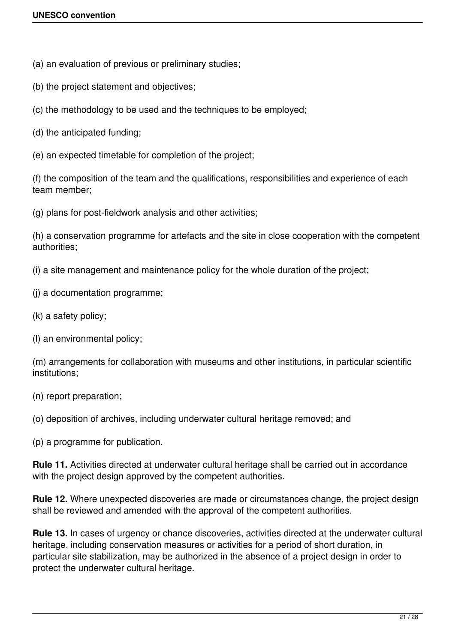(a) an evaluation of previous or preliminary studies;

- (b) the project statement and objectives;
- (c) the methodology to be used and the techniques to be employed;
- (d) the anticipated funding;
- (e) an expected timetable for completion of the project;

(f) the composition of the team and the qualifications, responsibilities and experience of each team member;

(g) plans for post-fieldwork analysis and other activities;

(h) a conservation programme for artefacts and the site in close cooperation with the competent authorities;

(i) a site management and maintenance policy for the whole duration of the project;

- (j) a documentation programme;
- (k) a safety policy;

(l) an environmental policy;

(m) arrangements for collaboration with museums and other institutions, in particular scientific institutions;

(n) report preparation;

(o) deposition of archives, including underwater cultural heritage removed; and

(p) a programme for publication.

**Rule 11.** Activities directed at underwater cultural heritage shall be carried out in accordance with the project design approved by the competent authorities.

**Rule 12.** Where unexpected discoveries are made or circumstances change, the project design shall be reviewed and amended with the approval of the competent authorities.

**Rule 13.** In cases of urgency or chance discoveries, activities directed at the underwater cultural heritage, including conservation measures or activities for a period of short duration, in particular site stabilization, may be authorized in the absence of a project design in order to protect the underwater cultural heritage.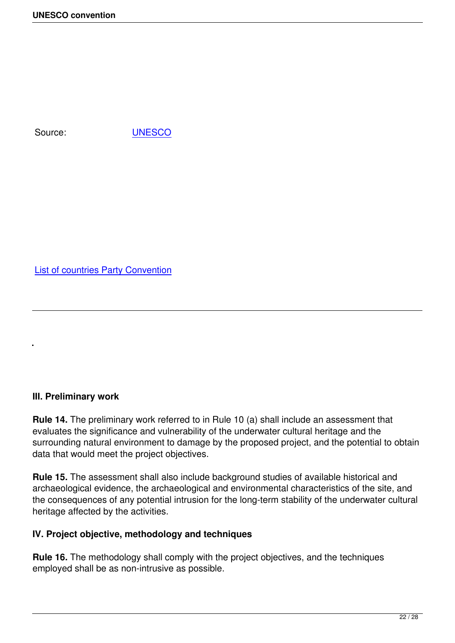Source: UNESCO

List of countries Party Convention

# **III. Preliminary work**

**Rule 14.** The preliminary work referred to in Rule 10 (a) shall include an assessment that evaluates the significance and vulnerability of the underwater cultural heritage and the surrounding natural environment to damage by the proposed project, and the potential to obtain data that would meet the project objectives.

**Rule 15.** The assessment shall also include background studies of available historical and archaeological evidence, the archaeological and environmental characteristics of the site, and the consequences of any potential intrusion for the long-term stability of the underwater cultural heritage affected by the activities.

# **IV. Project objective, methodology and techniques**

**Rule 16.** The methodology shall comply with the project objectives, and the techniques employed shall be as non-intrusive as possible.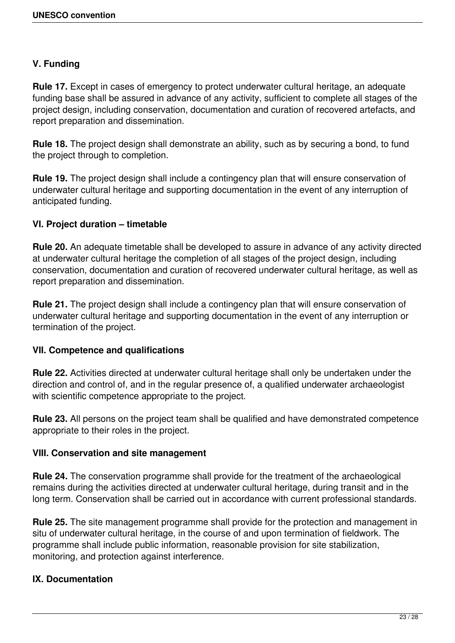# **V. Funding**

**Rule 17.** Except in cases of emergency to protect underwater cultural heritage, an adequate funding base shall be assured in advance of any activity, sufficient to complete all stages of the project design, including conservation, documentation and curation of recovered artefacts, and report preparation and dissemination.

**Rule 18.** The project design shall demonstrate an ability, such as by securing a bond, to fund the project through to completion.

**Rule 19.** The project design shall include a contingency plan that will ensure conservation of underwater cultural heritage and supporting documentation in the event of any interruption of anticipated funding.

#### **VI. Project duration – timetable**

**Rule 20.** An adequate timetable shall be developed to assure in advance of any activity directed at underwater cultural heritage the completion of all stages of the project design, including conservation, documentation and curation of recovered underwater cultural heritage, as well as report preparation and dissemination.

**Rule 21.** The project design shall include a contingency plan that will ensure conservation of underwater cultural heritage and supporting documentation in the event of any interruption or termination of the project.

#### **VII. Competence and qualifications**

**Rule 22.** Activities directed at underwater cultural heritage shall only be undertaken under the direction and control of, and in the regular presence of, a qualified underwater archaeologist with scientific competence appropriate to the project.

**Rule 23.** All persons on the project team shall be qualified and have demonstrated competence appropriate to their roles in the project.

#### **VIII. Conservation and site management**

**Rule 24.** The conservation programme shall provide for the treatment of the archaeological remains during the activities directed at underwater cultural heritage, during transit and in the long term. Conservation shall be carried out in accordance with current professional standards.

**Rule 25.** The site management programme shall provide for the protection and management in situ of underwater cultural heritage, in the course of and upon termination of fieldwork. The programme shall include public information, reasonable provision for site stabilization, monitoring, and protection against interference.

# **IX. Documentation**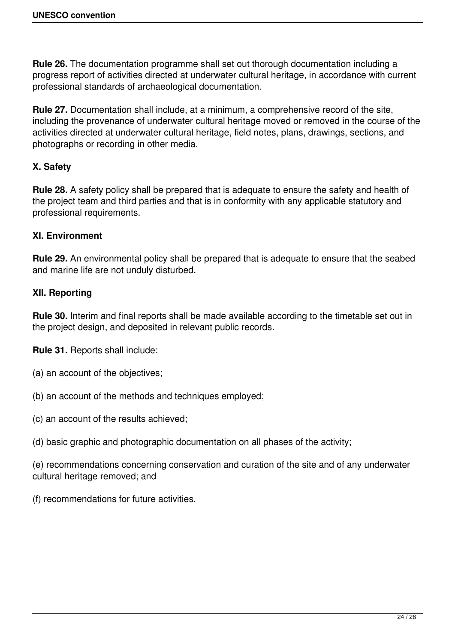**Rule 26.** The documentation programme shall set out thorough documentation including a progress report of activities directed at underwater cultural heritage, in accordance with current professional standards of archaeological documentation.

**Rule 27.** Documentation shall include, at a minimum, a comprehensive record of the site, including the provenance of underwater cultural heritage moved or removed in the course of the activities directed at underwater cultural heritage, field notes, plans, drawings, sections, and photographs or recording in other media.

# **X. Safety**

**Rule 28.** A safety policy shall be prepared that is adequate to ensure the safety and health of the project team and third parties and that is in conformity with any applicable statutory and professional requirements.

# **XI. Environment**

**Rule 29.** An environmental policy shall be prepared that is adequate to ensure that the seabed and marine life are not unduly disturbed.

# **XII. Reporting**

**Rule 30.** Interim and final reports shall be made available according to the timetable set out in the project design, and deposited in relevant public records.

**Rule 31.** Reports shall include:

- (a) an account of the objectives;
- (b) an account of the methods and techniques employed;
- (c) an account of the results achieved;
- (d) basic graphic and photographic documentation on all phases of the activity;

(e) recommendations concerning conservation and curation of the site and of any underwater cultural heritage removed; and

(f) recommendations for future activities.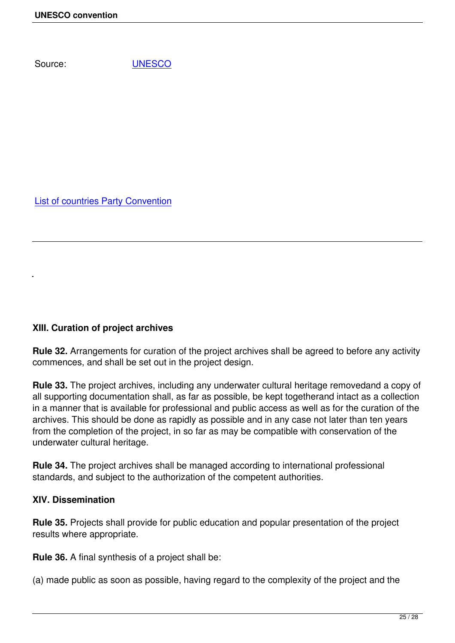List of countries Party Convention

# **XIII. Curation of project archives**

**Rule 32.** Arrangements for curation of the project archives shall be agreed to before any activity commences, and shall be set out in the project design.

**Rule 33.** The project archives, including any underwater cultural heritage removedand a copy of all supporting documentation shall, as far as possible, be kept togetherand intact as a collection in a manner that is available for professional and public access as well as for the curation of the archives. This should be done as rapidly as possible and in any case not later than ten years from the completion of the project, in so far as may be compatible with conservation of the underwater cultural heritage.

**Rule 34.** The project archives shall be managed according to international professional standards, and subject to the authorization of the competent authorities.

# **XIV. Dissemination**

**Rule 35.** Projects shall provide for public education and popular presentation of the project results where appropriate.

**Rule 36.** A final synthesis of a project shall be:

(a) made public as soon as possible, having regard to the complexity of the project and the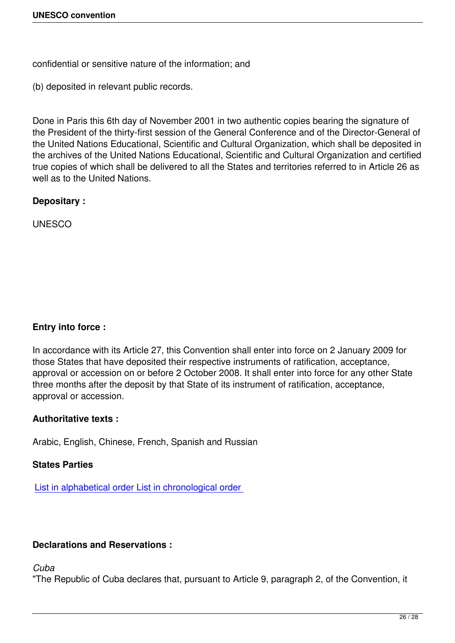confidential or sensitive nature of the information; and

(b) deposited in relevant public records.

Done in Paris this 6th day of November 2001 in two authentic copies bearing the signature of the President of the thirty-first session of the General Conference and of the Director-General of the United Nations Educational, Scientific and Cultural Organization, which shall be deposited in the archives of the United Nations Educational, Scientific and Cultural Organization and certified true copies of which shall be delivered to all the States and territories referred to in Article 26 as well as to the United Nations.

# **Depositary :**

UNESCO

# **Entry into force :**

In accordance with its Article 27, this Convention shall enter into force on 2 January 2009 for those States that have deposited their respective instruments of ratification, acceptance, approval or accession on or before 2 October 2008. It shall enter into force for any other State three months after the deposit by that State of its instrument of ratification, acceptance, approval or accession.

# **Authoritative texts :**

Arabic, English, Chinese, French, Spanish and Russian

# **States Parties**

List in alphabetical order List in chronological order

# **Declarations and Reservations :**

*Cuba* 

"The Republic of Cuba declares that, pursuant to Article 9, paragraph 2, of the Convention, it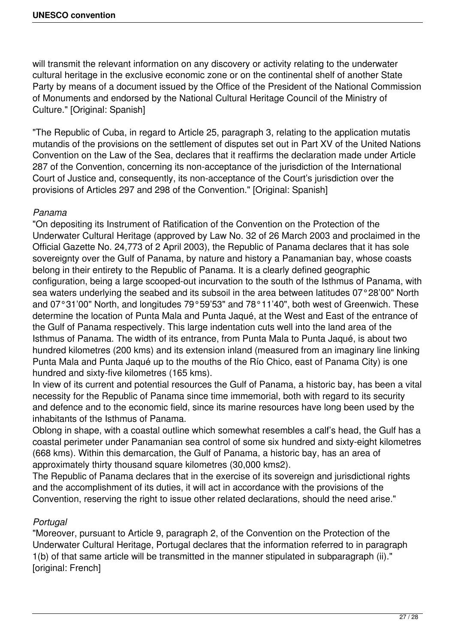will transmit the relevant information on any discovery or activity relating to the underwater cultural heritage in the exclusive economic zone or on the continental shelf of another State Party by means of a document issued by the Office of the President of the National Commission of Monuments and endorsed by the National Cultural Heritage Council of the Ministry of Culture." [Original: Spanish]

"The Republic of Cuba, in regard to Article 25, paragraph 3, relating to the application mutatis mutandis of the provisions on the settlement of disputes set out in Part XV of the United Nations Convention on the Law of the Sea, declares that it reaffirms the declaration made under Article 287 of the Convention, concerning its non-acceptance of the jurisdiction of the International Court of Justice and, consequently, its non-acceptance of the Court's jurisdiction over the provisions of Articles 297 and 298 of the Convention." [Original: Spanish]

# *Panama*

"On depositing its Instrument of Ratification of the Convention on the Protection of the Underwater Cultural Heritage (approved by Law No. 32 of 26 March 2003 and proclaimed in the Official Gazette No. 24,773 of 2 April 2003), the Republic of Panama declares that it has sole sovereignty over the Gulf of Panama, by nature and history a Panamanian bay, whose coasts belong in their entirety to the Republic of Panama. It is a clearly defined geographic configuration, being a large scooped-out incurvation to the south of the Isthmus of Panama, with sea waters underlying the seabed and its subsoil in the area between latitudes 07°28'00" North and 07°31'00" North, and longitudes 79°59'53" and 78°11'40", both west of Greenwich. These determine the location of Punta Mala and Punta Jaqué, at the West and East of the entrance of the Gulf of Panama respectively. This large indentation cuts well into the land area of the Isthmus of Panama. The width of its entrance, from Punta Mala to Punta Jaqué, is about two hundred kilometres (200 kms) and its extension inland (measured from an imaginary line linking Punta Mala and Punta Jaqué up to the mouths of the Río Chico, east of Panama City) is one hundred and sixty-five kilometres (165 kms).

In view of its current and potential resources the Gulf of Panama, a historic bay, has been a vital necessity for the Republic of Panama since time immemorial, both with regard to its security and defence and to the economic field, since its marine resources have long been used by the inhabitants of the Isthmus of Panama.

Oblong in shape, with a coastal outline which somewhat resembles a calf's head, the Gulf has a coastal perimeter under Panamanian sea control of some six hundred and sixty-eight kilometres (668 kms). Within this demarcation, the Gulf of Panama, a historic bay, has an area of approximately thirty thousand square kilometres (30,000 kms2).

The Republic of Panama declares that in the exercise of its sovereign and jurisdictional rights and the accomplishment of its duties, it will act in accordance with the provisions of the Convention, reserving the right to issue other related declarations, should the need arise."

# *Portugal*

"Moreover, pursuant to Article 9, paragraph 2, of the Convention on the Protection of the Underwater Cultural Heritage, Portugal declares that the information referred to in paragraph 1(b) of that same article will be transmitted in the manner stipulated in subparagraph (ii)." [original: French]